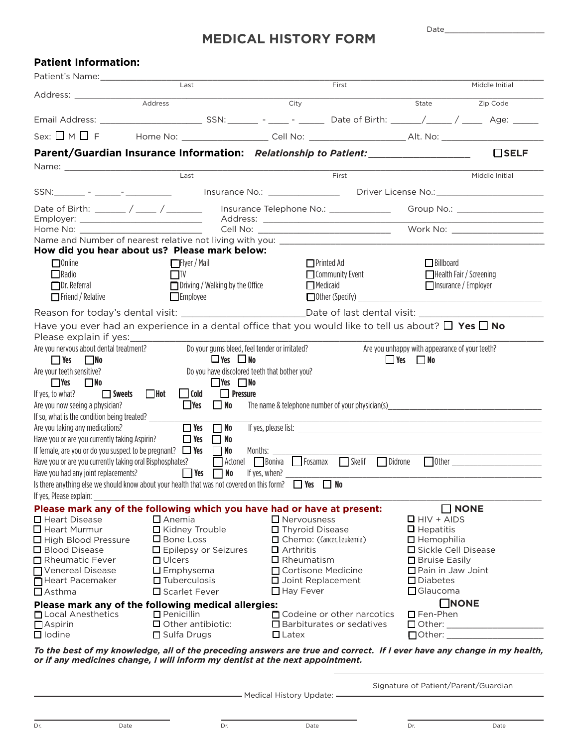## **MEDICAL HISTORY FORM**

 $Date$ 

| <b>Patient Information:</b>                                                                      |                                                                                                               |                                               |                                                  |                                                        |                |
|--------------------------------------------------------------------------------------------------|---------------------------------------------------------------------------------------------------------------|-----------------------------------------------|--------------------------------------------------|--------------------------------------------------------|----------------|
| Patient's Name: 1997                                                                             | $\overline{\mathsf{Last}}$                                                                                    |                                               | First                                            |                                                        | Middle Initial |
| Address: _____________                                                                           |                                                                                                               |                                               |                                                  |                                                        |                |
|                                                                                                  | Address                                                                                                       | City                                          |                                                  | State                                                  | Zip Code       |
|                                                                                                  |                                                                                                               |                                               |                                                  |                                                        |                |
|                                                                                                  | Sex: □ M □ F Home No: __________________ Cell No: _____________________Alt. No: ___________________           |                                               |                                                  |                                                        |                |
|                                                                                                  | Parent/Guardian Insurance Information: Relationship to Patient:                                               |                                               |                                                  |                                                        | $\Box$ SELF    |
|                                                                                                  | Last                                                                                                          |                                               | First                                            |                                                        |                |
|                                                                                                  |                                                                                                               |                                               |                                                  |                                                        | Middle Initial |
|                                                                                                  |                                                                                                               |                                               |                                                  |                                                        |                |
|                                                                                                  | Date of Birth: ______ / _____ / _______ Insurance Telephone No.: _______________ Group No.: _________________ |                                               |                                                  |                                                        |                |
| Home No: ____________________________                                                            |                                                                                                               |                                               |                                                  |                                                        |                |
|                                                                                                  |                                                                                                               |                                               |                                                  |                                                        |                |
|                                                                                                  | How did you hear about us? Please mark below:                                                                 |                                               |                                                  |                                                        |                |
| $\Box$ Online                                                                                    | <b>□Flyer / Mail</b>                                                                                          |                                               | $\Box$ Printed Ad                                | $\Box$ Billboard                                       |                |
| $\Box$ Radio                                                                                     | $\Box$ TV                                                                                                     |                                               | $\Box$ Community Event                           | Health Fair / Screening<br>$\Box$ Insurance / Employer |                |
| $\Box$ Dr. Referral<br>$\Box$ Friend / Relative                                                  | $\Box$ Driving / Walking by the Office<br>$\Box$ Medicaid<br>$\Box$ Employee                                  |                                               |                                                  |                                                        |                |
|                                                                                                  | Reason for today's dental visit: ______________________________Date of last dental visit: __________          |                                               |                                                  |                                                        |                |
|                                                                                                  | Have you ever had an experience in a dental office that you would like to tell us about? $\Box$ Yes $\Box$ No |                                               |                                                  |                                                        |                |
| Please explain if yes:                                                                           |                                                                                                               |                                               |                                                  |                                                        |                |
| Are you nervous about dental treatment?                                                          |                                                                                                               | Do your gums bleed, feel tender or irritated? |                                                  | Are you unhappy with appearance of your teeth?         |                |
| $\blacksquare$ Yes<br><b>No</b>                                                                  |                                                                                                               | $\Box$ Yes $\Box$ No                          |                                                  | $\Box$ Yes $\Box$ No                                   |                |
| Are your teeth sensitive?                                                                        |                                                                                                               | Do you have discolored teeth that bother you? |                                                  |                                                        |                |
| $\Box$ No<br>$\Box$ Yes<br>If yes, to what?                                                      | Sweets Hot<br>$\Box$ Cold                                                                                     | $\Box$ Yes $\Box$ No<br>$\Box$ Pressure       |                                                  |                                                        |                |
| Are you now seeing a physician?                                                                  | $\Box$ Yes<br>$\Box$ No                                                                                       |                                               | The name & telephone number of your physician(s) |                                                        |                |
| If so, what is the condition being treated?                                                      |                                                                                                               |                                               |                                                  |                                                        |                |
| Are you taking any medications?                                                                  | $\Box$ Yes<br>$\Box$ No                                                                                       |                                               |                                                  |                                                        |                |
| Have you or are you currently taking Aspirin?                                                    | $\Box$ Yes<br>No                                                                                              |                                               |                                                  |                                                        |                |
|                                                                                                  | If female, are you or do you suspect to be pregnant? $\Box$ Yes $\Box$ No                                     | Months: _____                                 |                                                  |                                                        |                |
| Have you or are you currently taking oral Bisphosphates?<br>Have you had any joint replacements? | $\blacksquare$ Yes<br>$\Box$ No                                                                               |                                               | Actonel Boniva Fosamax Skelif<br>Didrone         |                                                        | $\Box$ Other   |
|                                                                                                  | Is there anything else we should know about your health that was not covered on this form? $\Box$ Yes         | If yes, when?                                 | $\Box$ No                                        |                                                        |                |
| If yes, Please explain:                                                                          |                                                                                                               |                                               |                                                  |                                                        |                |
|                                                                                                  | Please mark any of the following which you have had or have at present:                                       |                                               |                                                  | $\Box$ NONE                                            |                |
| $\Box$ Heart Disease                                                                             | $\Box$ Anemia                                                                                                 |                                               | $\Box$ Nervousness                               | $\Box$ HIV + AIDS                                      |                |
| $\Box$ Heart Murmur                                                                              | □ Kidney Trouble<br>$\Box$ Bone Loss                                                                          |                                               | □ Thyroid Disease                                | $\Box$ Hepatitis                                       |                |
| High Blood Pressure<br>□ Blood Disease                                                           | □ Epilepsy or Seizures                                                                                        | $\Box$ Arthritis                              | □ Chemo: (Cancer, Leukemia)                      | $\Box$ Hemophilia<br>□ Sickle Cell Disease             |                |
| Rheumatic Fever                                                                                  | $\Box$ Ulcers                                                                                                 |                                               | $\square$ Rheumatism                             | □ Bruise Easily                                        |                |
| Venereal Disease                                                                                 | $\square$ Emphysema                                                                                           |                                               | □ Cortisone Medicine                             | □ Pain in Jaw Joint                                    |                |
| Heart Pacemaker                                                                                  | $\Box$ Tuberculosis                                                                                           |                                               | □ Joint Replacement                              | $\square$ Diabetes                                     |                |
| $\Box$ Asthma                                                                                    | □ Scarlet Fever                                                                                               | $\Box$ Hay Fever                              |                                                  | $\Box$ Glaucoma                                        |                |
| □ Local Anesthetics                                                                              | Please mark any of the following medical allergies:<br>$\Box$ Penicillin                                      |                                               | $\Box$ Codeine or other narcotics                | $\Box$ NONE<br>$\square$ Fen-Phen                      |                |
| $\Box$ Aspirin                                                                                   | $\Box$ Other antibiotic:                                                                                      |                                               | $\Box$ Barbiturates or sedatives                 |                                                        |                |
| $\Box$ lodine                                                                                    | □ Sulfa Drugs                                                                                                 | $\Box$ Latex                                  |                                                  |                                                        |                |
|                                                                                                  |                                                                                                               |                                               |                                                  |                                                        |                |

*To the best of my knowledge, all of the preceding answers are true and correct. If I ever have any change in my health, or if any medicines change, I will inform my dentist at the next appointment.*

- Medical History Update: -